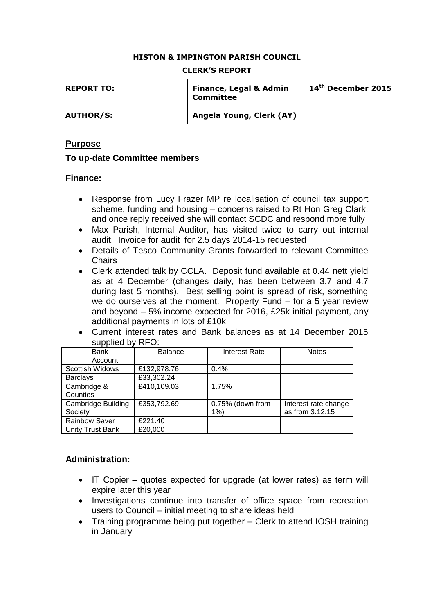## **HISTON & IMPINGTON PARISH COUNCIL**

| <b>REPORT TO:</b> | <b>Finance, Legal &amp; Admin</b><br><b>Committee</b> | $14th$ December 2015 |
|-------------------|-------------------------------------------------------|----------------------|
| <b>AUTHOR/S:</b>  | Angela Young, Clerk (AY)                              |                      |

#### **CLERK'S REPORT**

## **Purpose**

## **To up-date Committee members**

#### **Finance:**

- Response from Lucy Frazer MP re localisation of council tax support scheme, funding and housing – concerns raised to Rt Hon Greg Clark, and once reply received she will contact SCDC and respond more fully
- Max Parish, Internal Auditor, has visited twice to carry out internal audit. Invoice for audit for 2.5 days 2014-15 requested
- Details of Tesco Community Grants forwarded to relevant Committee Chairs
- Clerk attended talk by CCLA. Deposit fund available at 0.44 nett yield as at 4 December (changes daily, has been between 3.7 and 4.7 during last 5 months). Best selling point is spread of risk, something we do ourselves at the moment. Property Fund – for a 5 year review and beyond – 5% income expected for 2016, £25k initial payment, any additional payments in lots of £10k
- Current interest rates and Bank balances as at 14 December 2015 supplied by RFO:

| <b>Bank</b>               | <b>Balance</b> | <b>Interest Rate</b> | <b>Notes</b>         |
|---------------------------|----------------|----------------------|----------------------|
| Account                   |                |                      |                      |
| <b>Scottish Widows</b>    | £132,978.76    | 0.4%                 |                      |
| <b>Barclays</b>           | £33,302.24     |                      |                      |
| Cambridge &               | £410,109.03    | 1.75%                |                      |
| Counties                  |                |                      |                      |
| <b>Cambridge Building</b> | £353,792.69    | 0.75% (down from     | Interest rate change |
| Society                   |                | 1%                   | as from 3.12.15      |
| <b>Rainbow Saver</b>      | £221.40        |                      |                      |
| Unity Trust Bank          | £20,000        |                      |                      |

## **Administration:**

- IT Copier quotes expected for upgrade (at lower rates) as term will expire later this year
- Investigations continue into transfer of office space from recreation users to Council – initial meeting to share ideas held
- Training programme being put together Clerk to attend IOSH training in January